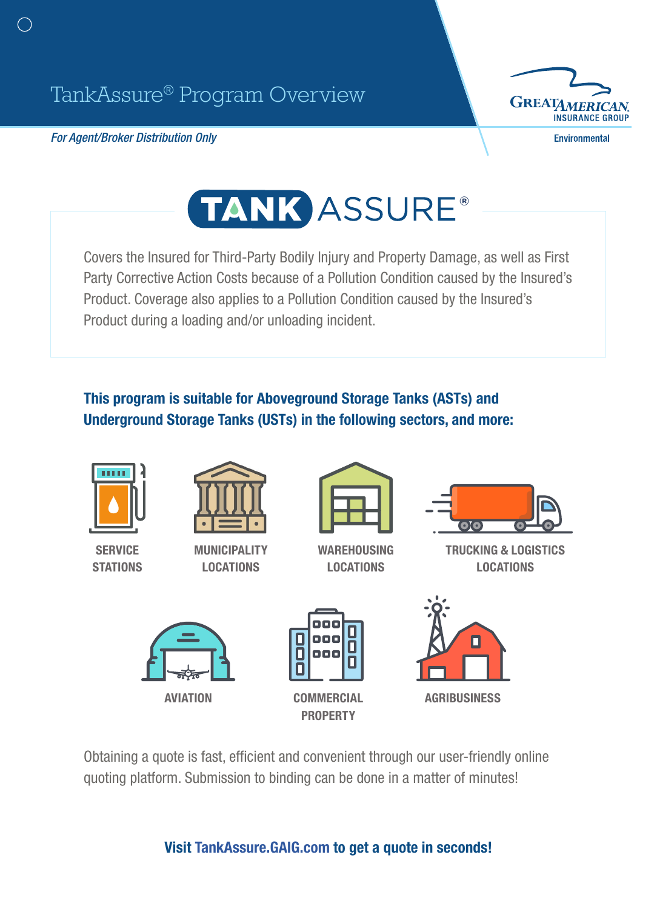*For Agent/Broker Distribution Only*



**Environmental** 

## TANK ASSURE®

Covers the Insured for Third-Party Bodily Injury and Property Damage, as well as First Party Corrective Action Costs because of a Pollution Condition caused by the Insured's Product. Coverage also applies to a Pollution Condition caused by the Insured's Product during a loading and/or unloading incident.

## This program is suitable for Aboveground Storage Tanks (ASTs) and Underground Storage Tanks (USTs) in the following sectors, and more:



Obtaining a quote is fast, efficient and convenient through our user-friendly online quoting platform. Submission to binding can be done in a matter of minutes!

Visit [TankAssure.GAIG.com](http://TankAssure.GAIG.com) to get a quote in seconds!